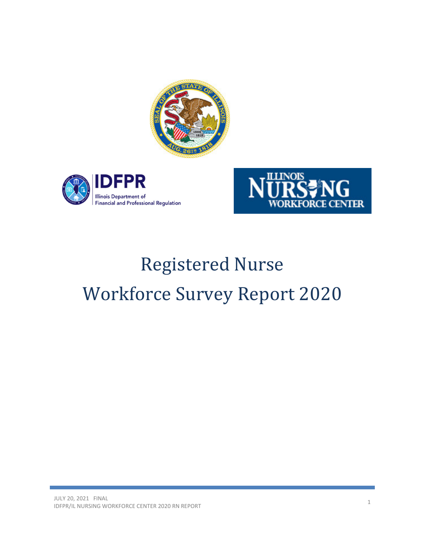





# Registered Nurse Workforce Survey Report 2020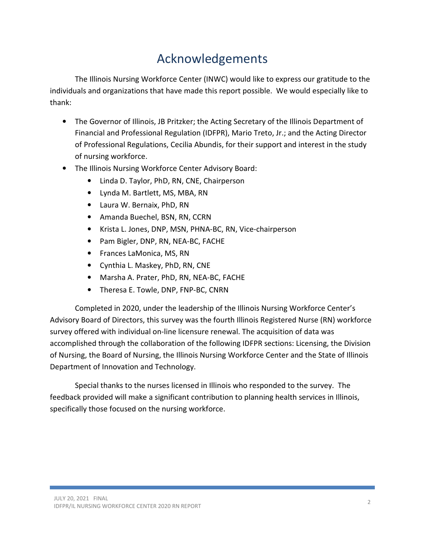# Acknowledgements

The Illinois Nursing Workforce Center (INWC) would like to express our gratitude to the individuals and organizations that have made this report possible. We would especially like to thank:

- The Governor of Illinois, JB Pritzker; the Acting Secretary of the Illinois Department of Financial and Professional Regulation (IDFPR), Mario Treto, Jr.; and the Acting Director of Professional Regulations, Cecilia Abundis, for their support and interest in the study of nursing workforce.
- The Illinois Nursing Workforce Center Advisory Board:
	- Linda D. Taylor, PhD, RN, CNE, Chairperson
	- Lynda M. Bartlett, MS, MBA, RN
	- Laura W. Bernaix, PhD, RN
	- Amanda Buechel, BSN, RN, CCRN
	- Krista L. Jones, DNP, MSN, PHNA-BC, RN, Vice-chairperson
	- Pam Bigler, DNP, RN, NEA-BC, FACHE
	- Frances LaMonica, MS, RN
	- Cynthia L. Maskey, PhD, RN, CNE
	- Marsha A. Prater, PhD, RN, NEA-BC, FACHE
	- Theresa E. Towle, DNP, FNP-BC, CNRN

Completed in 2020, under the leadership of the Illinois Nursing Workforce Center's Advisory Board of Directors, this survey was the fourth Illinois Registered Nurse (RN) workforce survey offered with individual on-line licensure renewal. The acquisition of data was accomplished through the collaboration of the following IDFPR sections: Licensing, the Division of Nursing, the Board of Nursing, the Illinois Nursing Workforce Center and the State of Illinois Department of Innovation and Technology.

Special thanks to the nurses licensed in Illinois who responded to the survey. The feedback provided will make a significant contribution to planning health services in Illinois, specifically those focused on the nursing workforce.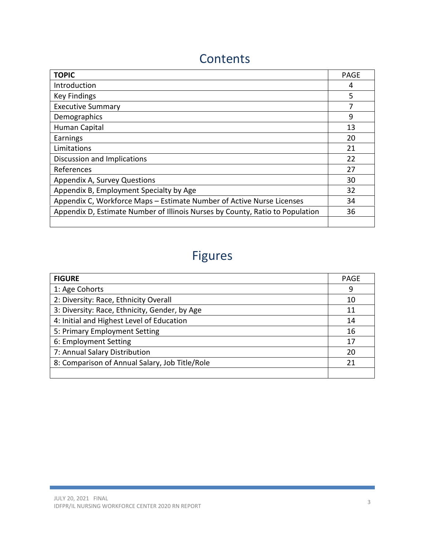### **Contents**

| <b>TOPIC</b>                                                                  | <b>PAGE</b> |
|-------------------------------------------------------------------------------|-------------|
| Introduction                                                                  | 4           |
| <b>Key Findings</b>                                                           | 5           |
| <b>Executive Summary</b>                                                      |             |
| Demographics                                                                  | 9           |
| Human Capital                                                                 | 13          |
| Earnings                                                                      | 20          |
| Limitations                                                                   | 21          |
| Discussion and Implications                                                   | 22          |
| References                                                                    | 27          |
| Appendix A, Survey Questions                                                  | 30          |
| Appendix B, Employment Specialty by Age                                       | 32          |
| Appendix C, Workforce Maps - Estimate Number of Active Nurse Licenses         | 34          |
| Appendix D, Estimate Number of Illinois Nurses by County, Ratio to Population | 36          |
|                                                                               |             |

# Figures

| <b>FIGURE</b>                                  | <b>PAGE</b> |  |  |  |
|------------------------------------------------|-------------|--|--|--|
| 1: Age Cohorts                                 | 9           |  |  |  |
| 2: Diversity: Race, Ethnicity Overall          | 10          |  |  |  |
| 3: Diversity: Race, Ethnicity, Gender, by Age  | 11          |  |  |  |
| 4: Initial and Highest Level of Education      |             |  |  |  |
| 5: Primary Employment Setting                  |             |  |  |  |
| 6: Employment Setting                          | 17          |  |  |  |
| 7: Annual Salary Distribution                  | 20          |  |  |  |
| 8: Comparison of Annual Salary, Job Title/Role | 21          |  |  |  |
|                                                |             |  |  |  |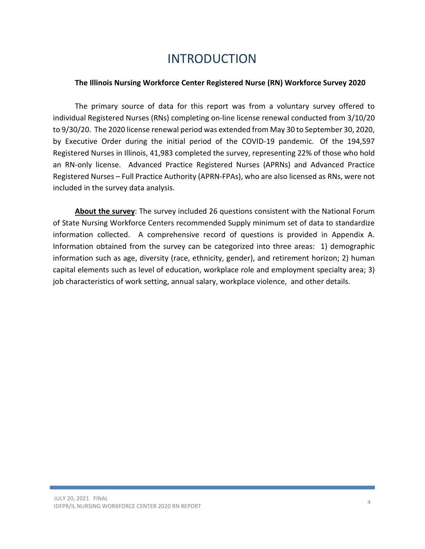### INTRODUCTION

#### The Illinois Nursing Workforce Center Registered Nurse (RN) Workforce Survey 2020

The primary source of data for this report was from a voluntary survey offered to individual Registered Nurses (RNs) completing on-line license renewal conducted from 3/10/20 to 9/30/20. The 2020 license renewal period was extended from May 30 to September 30, 2020, by Executive Order during the initial period of the COVID-19 pandemic. Of the 194,597 Registered Nurses in Illinois, 41,983 completed the survey, representing 22% of those who hold an RN-only license. Advanced Practice Registered Nurses (APRNs) and Advanced Practice Registered Nurses – Full Practice Authority (APRN-FPAs), who are also licensed as RNs, were not included in the survey data analysis.

About the survey: The survey included 26 questions consistent with the National Forum of State Nursing Workforce Centers recommended Supply minimum set of data to standardize information collected. A comprehensive record of questions is provided in Appendix A. Information obtained from the survey can be categorized into three areas: 1) demographic information such as age, diversity (race, ethnicity, gender), and retirement horizon; 2) human capital elements such as level of education, workplace role and employment specialty area; 3) job characteristics of work setting, annual salary, workplace violence, and other details.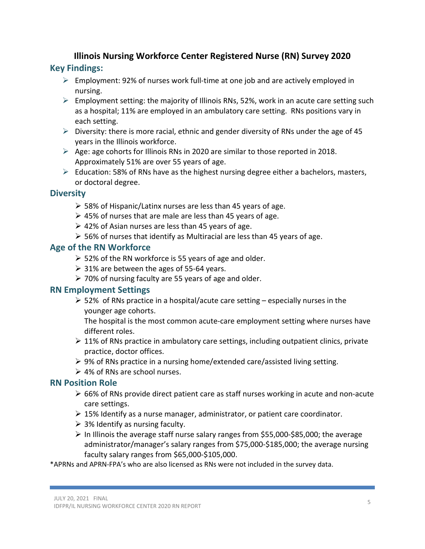### Illinois Nursing Workforce Center Registered Nurse (RN) Survey 2020 Key Findings:

- $\triangleright$  Employment: 92% of nurses work full-time at one job and are actively employed in nursing.
- $\triangleright$  Employment setting: the majority of Illinois RNs, 52%, work in an acute care setting such as a hospital; 11% are employed in an ambulatory care setting. RNs positions vary in each setting.
- $\triangleright$  Diversity: there is more racial, ethnic and gender diversity of RNs under the age of 45 years in the Illinois workforce.
- $\triangleright$  Age: age cohorts for Illinois RNs in 2020 are similar to those reported in 2018. Approximately 51% are over 55 years of age.
- $\triangleright$  Education: 58% of RNs have as the highest nursing degree either a bachelors, masters, or doctoral degree.

### **Diversity**

- $\geq$  58% of Hispanic/Latinx nurses are less than 45 years of age.
- $\geq$  45% of nurses that are male are less than 45 years of age.
- $\geq 42\%$  of Asian nurses are less than 45 years of age.
- $\geq$  56% of nurses that identify as Multiracial are less than 45 years of age.

### Age of the RN Workforce

- $\geq$  52% of the RN workforce is 55 years of age and older.
- $\geq$  31% are between the ages of 55-64 years.
- 70% of nursing faculty are 55 years of age and older.

### RN Employment Settings

 $\geq$  52% of RNs practice in a hospital/acute care setting – especially nurses in the younger age cohorts.

The hospital is the most common acute-care employment setting where nurses have different roles.

- $\geq 11\%$  of RNs practice in ambulatory care settings, including outpatient clinics, private practice, doctor offices.
- 9% of RNs practice in a nursing home/extended care/assisted living setting.
- $\geq 4\%$  of RNs are school nurses.

### RN Position Role

- $\geq 66\%$  of RNs provide direct patient care as staff nurses working in acute and non-acute care settings.
- $\geq$  15% Identify as a nurse manager, administrator, or patient care coordinator.
- $\geq$  3% Identify as nursing faculty.
- $\triangleright$  In Illinois the average staff nurse salary ranges from \$55,000-\$85,000; the average administrator/manager's salary ranges from \$75,000-\$185,000; the average nursing faculty salary ranges from \$65,000-\$105,000.

\*APRNs and APRN-FPA's who are also licensed as RNs were not included in the survey data.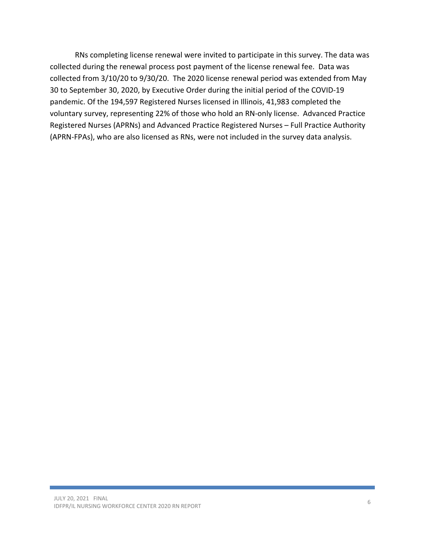RNs completing license renewal were invited to participate in this survey. The data was collected during the renewal process post payment of the license renewal fee. Data was collected from 3/10/20 to 9/30/20. The 2020 license renewal period was extended from May 30 to September 30, 2020, by Executive Order during the initial period of the COVID-19 pandemic. Of the 194,597 Registered Nurses licensed in Illinois, 41,983 completed the voluntary survey, representing 22% of those who hold an RN-only license. Advanced Practice Registered Nurses (APRNs) and Advanced Practice Registered Nurses – Full Practice Authority (APRN-FPAs), who are also licensed as RNs, were not included in the survey data analysis.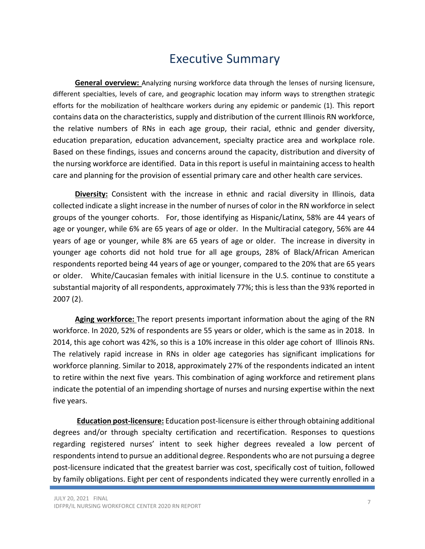### Executive Summary

**General overview:** Analyzing nursing workforce data through the lenses of nursing licensure, different specialties, levels of care, and geographic location may inform ways to strengthen strategic efforts for the mobilization of healthcare workers during any epidemic or pandemic (1). This report contains data on the characteristics, supply and distribution of the current Illinois RN workforce, the relative numbers of RNs in each age group, their racial, ethnic and gender diversity, education preparation, education advancement, specialty practice area and workplace role. Based on these findings, issues and concerns around the capacity, distribution and diversity of the nursing workforce are identified. Data in this report is useful in maintaining access to health care and planning for the provision of essential primary care and other health care services.

Diversity: Consistent with the increase in ethnic and racial diversity in Illinois, data collected indicate a slight increase in the number of nurses of color in the RN workforce in select groups of the younger cohorts. For, those identifying as Hispanic/Latinx, 58% are 44 years of age or younger, while 6% are 65 years of age or older. In the Multiracial category, 56% are 44 years of age or younger, while 8% are 65 years of age or older. The increase in diversity in younger age cohorts did not hold true for all age groups, 28% of Black/African American respondents reported being 44 years of age or younger, compared to the 20% that are 65 years or older. White/Caucasian females with initial licensure in the U.S. continue to constitute a substantial majority of all respondents, approximately 77%; this is less than the 93% reported in 2007 (2).

Aging workforce: The report presents important information about the aging of the RN workforce. In 2020, 52% of respondents are 55 years or older, which is the same as in 2018. In 2014, this age cohort was 42%, so this is a 10% increase in this older age cohort of Illinois RNs. The relatively rapid increase in RNs in older age categories has significant implications for workforce planning. Similar to 2018, approximately 27% of the respondents indicated an intent to retire within the next five years. This combination of aging workforce and retirement plans indicate the potential of an impending shortage of nurses and nursing expertise within the next five years.

Education post-licensure: Education post-licensure is either through obtaining additional degrees and/or through specialty certification and recertification. Responses to questions regarding registered nurses' intent to seek higher degrees revealed a low percent of respondents intend to pursue an additional degree. Respondents who are not pursuing a degree post-licensure indicated that the greatest barrier was cost, specifically cost of tuition, followed by family obligations. Eight per cent of respondents indicated they were currently enrolled in a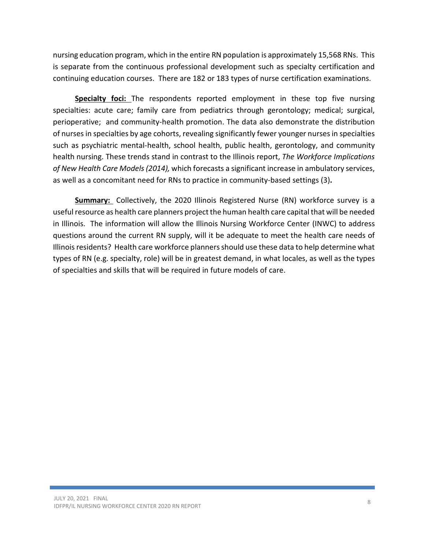nursing education program, which in the entire RN population is approximately 15,568 RNs. This is separate from the continuous professional development such as specialty certification and continuing education courses. There are 182 or 183 types of nurse certification examinations.

Specialty foci: The respondents reported employment in these top five nursing specialties: acute care; family care from pediatrics through gerontology; medical; surgical, perioperative; and community-health promotion. The data also demonstrate the distribution of nurses in specialties by age cohorts, revealing significantly fewer younger nurses in specialties such as psychiatric mental-health, school health, public health, gerontology, and community health nursing. These trends stand in contrast to the Illinois report, The Workforce Implications of New Health Care Models (2014), which forecasts a significant increase in ambulatory services, as well as a concomitant need for RNs to practice in community-based settings (3).

Summary: Collectively, the 2020 Illinois Registered Nurse (RN) workforce survey is a useful resource as health care planners project the human health care capital that will be needed in Illinois. The information will allow the Illinois Nursing Workforce Center (INWC) to address questions around the current RN supply, will it be adequate to meet the health care needs of Illinois residents? Health care workforce planners should use these data to help determine what types of RN (e.g. specialty, role) will be in greatest demand, in what locales, as well as the types of specialties and skills that will be required in future models of care.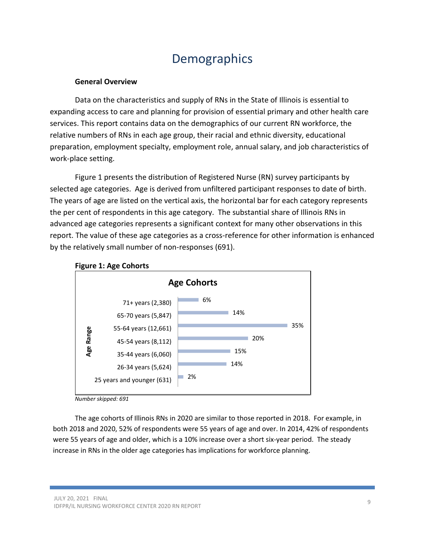### **Demographics**

#### General Overview

Data on the characteristics and supply of RNs in the State of Illinois is essential to expanding access to care and planning for provision of essential primary and other health care services. This report contains data on the demographics of our current RN workforce, the relative numbers of RNs in each age group, their racial and ethnic diversity, educational preparation, employment specialty, employment role, annual salary, and job characteristics of work-place setting.

Figure 1 presents the distribution of Registered Nurse (RN) survey participants by selected age categories. Age is derived from unfiltered participant responses to date of birth. The years of age are listed on the vertical axis, the horizontal bar for each category represents the per cent of respondents in this age category. The substantial share of Illinois RNs in advanced age categories represents a significant context for many other observations in this report. The value of these age categories as a cross-reference for other information is enhanced by the relatively small number of non-responses (691).



#### Figure 1: Age Cohorts

Number skipped: 691

 The age cohorts of Illinois RNs in 2020 are similar to those reported in 2018. For example, in both 2018 and 2020, 52% of respondents were 55 years of age and over. In 2014, 42% of respondents were 55 years of age and older, which is a 10% increase over a short six-year period. The steady increase in RNs in the older age categories has implications for workforce planning.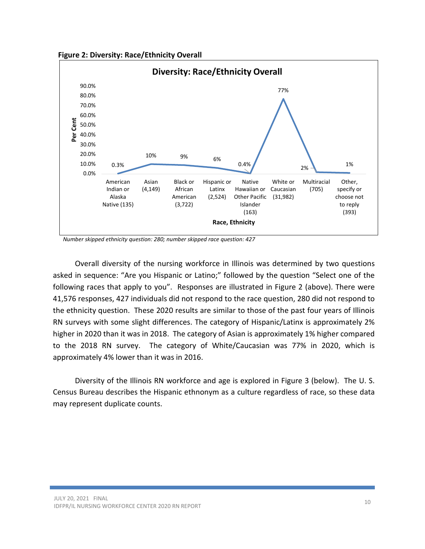Figure 2: Diversity: Race/Ethnicity Overall



Number skipped ethnicity question: 280; number skipped race question: 427

Overall diversity of the nursing workforce in Illinois was determined by two questions asked in sequence: "Are you Hispanic or Latino;" followed by the question "Select one of the following races that apply to you". Responses are illustrated in Figure 2 (above). There were 41,576 responses, 427 individuals did not respond to the race question, 280 did not respond to the ethnicity question. These 2020 results are similar to those of the past four years of Illinois RN surveys with some slight differences. The category of Hispanic/Latinx is approximately 2% higher in 2020 than it was in 2018. The category of Asian is approximately 1% higher compared to the 2018 RN survey. The category of White/Caucasian was 77% in 2020, which is approximately 4% lower than it was in 2016.

Diversity of the Illinois RN workforce and age is explored in Figure 3 (below). The U. S. Census Bureau describes the Hispanic ethnonym as a culture regardless of race, so these data may represent duplicate counts.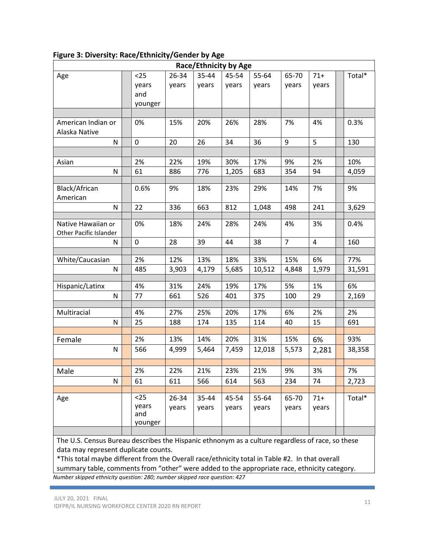|                                              |                                 |                |                | <b>Race/Ethnicity by Age</b> |                |                |                |        |
|----------------------------------------------|---------------------------------|----------------|----------------|------------------------------|----------------|----------------|----------------|--------|
| Age                                          | $25$                            | 26-34          | 35-44          | 45-54                        | 55-64          | 65-70          | $71+$          | Total* |
|                                              | years<br>and<br>younger         | years          | years          | years                        | years          | years          | years          |        |
|                                              |                                 |                |                |                              |                |                |                |        |
| American Indian or<br>Alaska Native          | 0%                              | 15%            | 20%            | 26%                          | 28%            | 7%             | 4%             | 0.3%   |
| N                                            | 0                               | 20             | 26             | 34                           | 36             | 9              | 5              | 130    |
|                                              |                                 |                |                |                              |                |                |                |        |
| Asian                                        | 2%                              | 22%            | 19%            | 30%                          | 17%            | 9%             | 2%             | 10%    |
| N                                            | 61                              | 886            | 776            | 1,205                        | 683            | 354            | 94             | 4,059  |
|                                              |                                 |                |                |                              |                |                |                |        |
| Black/African<br>American                    | 0.6%                            | 9%             | 18%            | 23%                          | 29%            | 14%            | 7%             | 9%     |
| N                                            | 22                              | 336            | 663            | 812                          | 1,048          | 498            | 241            | 3,629  |
|                                              |                                 |                |                |                              |                |                |                |        |
| Native Hawaiian or<br>Other Pacific Islander | 0%                              | 18%            | 24%            | 28%                          | 24%            | 4%             | 3%             | 0.4%   |
| N                                            | 0                               | 28             | 39             | 44                           | 38             | $\overline{7}$ | $\overline{4}$ | 160    |
|                                              |                                 |                |                |                              |                |                |                |        |
| White/Caucasian                              | 2%                              | 12%            | 13%            | 18%                          | 33%            | 15%            | 6%             | 77%    |
| N                                            | 485                             | 3,903          | 4,179          | 5,685                        | 10,512         | 4,848          | 1,979          | 31,591 |
| Hispanic/Latinx                              | 4%                              | 31%            | 24%            | 19%                          | 17%            | 5%             | 1%             | 6%     |
| N                                            | 77                              | 661            | 526            | 401                          | 375            | 100            | 29             | 2,169  |
|                                              |                                 |                |                |                              |                |                |                |        |
| Multiracial                                  | 4%                              | 27%            | 25%            | 20%                          | 17%            | 6%             | 2%             | 2%     |
| N                                            | 25                              | 188            | 174            | 135                          | 114            | 40             | 15             | 691    |
|                                              |                                 |                |                |                              |                |                |                |        |
| Female                                       | 2%                              | 13%            | 14%            | 20%                          | 31%            | 15%            | 6%             | 93%    |
| N                                            | 566                             | 4,999          | 5,464          | 7,459                        | 12,018         | 5,573          | 2,281          | 38,358 |
|                                              |                                 |                |                |                              |                |                |                |        |
| Male                                         | 2%                              | 22%            | 21%            | 23%                          | 21%            | $9%$           | 3%             | 7%     |
| N                                            | 61                              | 611            | 566            | 614                          | 563            | 234            | 74             | 2,723  |
| Age                                          | $25$<br>years<br>and<br>younger | 26-34<br>years | 35-44<br>years | 45-54<br>years               | 55-64<br>years | 65-70<br>years | $71+$<br>years | Total* |
|                                              |                                 |                |                |                              |                |                |                |        |

#### Figure 3: Diversity: Race/Ethnicity/Gender by Age

The U.S. Census Bureau describes the Hispanic ethnonym as a culture regardless of race, so these data may represent duplicate counts.

\*This total maybe different from the Overall race/ethnicity total in Table #2. In that overall summary table, comments from "other" were added to the appropriate race, ethnicity category. Number skipped ethnicity question: 280; number skipped race question: 427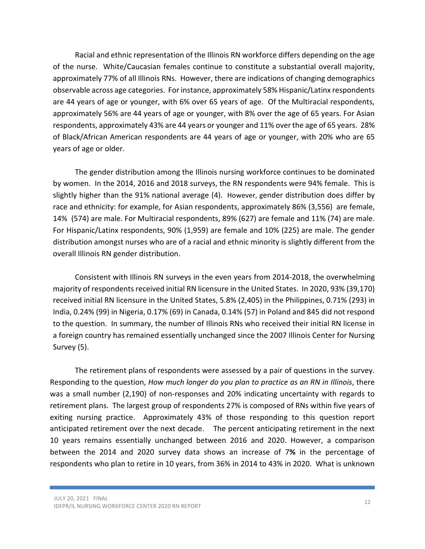Racial and ethnic representation of the Illinois RN workforce differs depending on the age of the nurse. White/Caucasian females continue to constitute a substantial overall majority, approximately 77% of all Illinois RNs. However, there are indications of changing demographics observable across age categories. For instance, approximately 58% Hispanic/Latinx respondents are 44 years of age or younger, with 6% over 65 years of age. Of the Multiracial respondents, approximately 56% are 44 years of age or younger, with 8% over the age of 65 years. For Asian respondents, approximately 43% are 44 years or younger and 11% over the age of 65 years. 28% of Black/African American respondents are 44 years of age or younger, with 20% who are 65 years of age or older.

The gender distribution among the Illinois nursing workforce continues to be dominated by women. In the 2014, 2016 and 2018 surveys, the RN respondents were 94% female. This is slightly higher than the 91% national average (4). However, gender distribution does differ by race and ethnicity: for example, for Asian respondents, approximately 86% (3,556) are female, 14% (574) are male. For Multiracial respondents, 89% (627) are female and 11% (74) are male. For Hispanic/Latinx respondents, 90% (1,959) are female and 10% (225) are male. The gender distribution amongst nurses who are of a racial and ethnic minority is slightly different from the overall Illinois RN gender distribution.

Consistent with Illinois RN surveys in the even years from 2014-2018, the overwhelming majority of respondents received initial RN licensure in the United States. In 2020, 93% (39,170) received initial RN licensure in the United States, 5.8% (2,405) in the Philippines, 0.71% (293) in India, 0.24% (99) in Nigeria, 0.17% (69) in Canada, 0.14% (57) in Poland and 845 did not respond to the question. In summary, the number of Illinois RNs who received their initial RN license in a foreign country has remained essentially unchanged since the 2007 Illinois Center for Nursing Survey (5).

The retirement plans of respondents were assessed by a pair of questions in the survey. Responding to the question, How much longer do you plan to practice as an RN in Illinois, there was a small number (2,190) of non-responses and 20% indicating uncertainty with regards to retirement plans. The largest group of respondents 27% is composed of RNs within five years of exiting nursing practice. Approximately 43% of those responding to this question report anticipated retirement over the next decade. The percent anticipating retirement in the next 10 years remains essentially unchanged between 2016 and 2020. However, a comparison between the 2014 and 2020 survey data shows an increase of 7% in the percentage of respondents who plan to retire in 10 years, from 36% in 2014 to 43% in 2020. What is unknown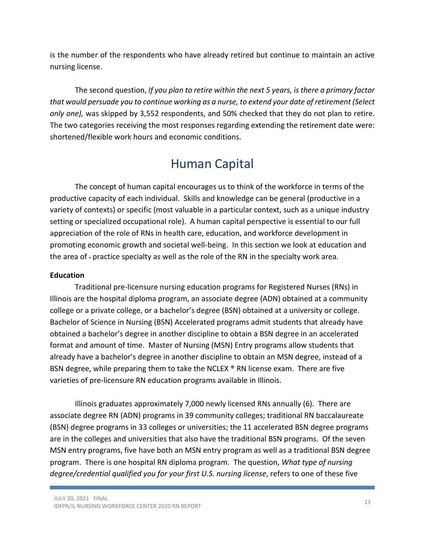is the number of the respondents who have already retired but continue to maintain an active nursing license.

The second question, If you plan to retire within the next 5 years, is there a primary factor that would persuade you to continue working as a nurse, to extend your date of retirement (Select only one), was skipped by 3,552 respondents, and 50% checked that they do not plan to retire. The two categories receiving the most responses regarding extending the retirement date were: shortened/flexible work hours and economic conditions.

# Human Capital

The concept of human capital encourages us to think of the workforce in terms of the productive capacity of each individual. Skills and knowledge can be general (productive in a variety of contexts) or specific (most valuable in a particular context, such as a unique industry setting or specialized occupational role). A human capital perspective is essential to our full appreciation of the role of RNs in health care, education, and workforce development in promoting economic growth and societal well-being. In this section we look at education and the area of - practice specialty as well as the role of the RN in the specialty work area.

#### Education

 Traditional pre-licensure nursing education programs for Registered Nurses (RNs) in Illinois are the hospital diploma program, an associate degree (ADN) obtained at a community college or a private college, or a bachelor's degree (BSN) obtained at a university or college. Bachelor of Science in Nursing (BSN) Accelerated programs admit students that already have obtained a bachelor's degree in another discipline to obtain a BSN degree in an accelerated format and amount of time. Master of Nursing (MSN) Entry programs allow students that already have a bachelor's degree in another discipline to obtain an MSN degree, instead of a BSN degree, while preparing them to take the NCLEX ® RN license exam. There are five varieties of pre-licensure RN education programs available in Illinois.

Illinois graduates approximately 7,000 newly licensed RNs annually (6). There are associate degree RN (ADN) programs in 39 community colleges; traditional RN baccalaureate (BSN) degree programs in 33 colleges or universities; the 11 accelerated BSN degree programs are in the colleges and universities that also have the traditional BSN programs. Of the seven MSN entry programs, five have both an MSN entry program as well as a traditional BSN degree program. There is one hospital RN diploma program. The question, What type of nursing degree/credential qualified you for your first U.S. nursing license, refers to one of these five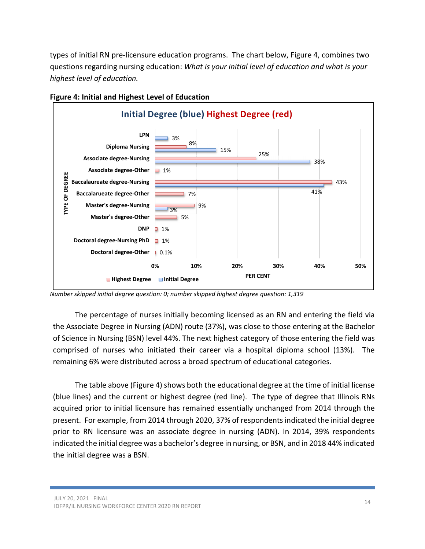types of initial RN pre-licensure education programs. The chart below, Figure 4, combines two questions regarding nursing education: What is your initial level of education and what is your highest level of education.



Figure 4: Initial and Highest Level of Education

The percentage of nurses initially becoming licensed as an RN and entering the field via the Associate Degree in Nursing (ADN) route (37%), was close to those entering at the Bachelor of Science in Nursing (BSN) level 44%. The next highest category of those entering the field was comprised of nurses who initiated their career via a hospital diploma school (13%). The remaining 6% were distributed across a broad spectrum of educational categories.

The table above (Figure 4) shows both the educational degree at the time of initial license (blue lines) and the current or highest degree (red line). The type of degree that Illinois RNs acquired prior to initial licensure has remained essentially unchanged from 2014 through the present. For example, from 2014 through 2020, 37% of respondents indicated the initial degree prior to RN licensure was an associate degree in nursing (ADN). In 2014, 39% respondents indicated the initial degree was a bachelor's degree in nursing, or BSN, and in 2018 44% indicated the initial degree was a BSN.

Number skipped initial degree question: 0; number skipped highest degree question: 1,319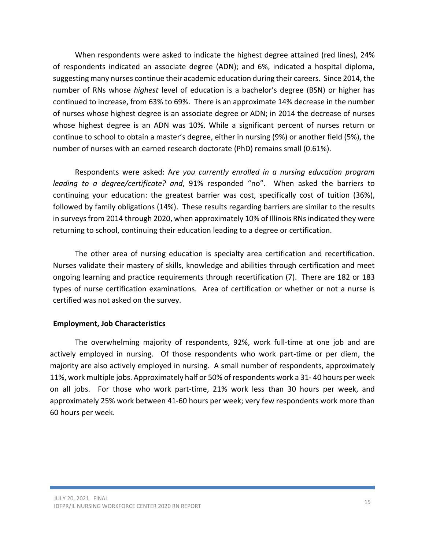When respondents were asked to indicate the highest degree attained (red lines), 24% of respondents indicated an associate degree (ADN); and 6%, indicated a hospital diploma, suggesting many nurses continue their academic education during their careers. Since 2014, the number of RNs whose *highest* level of education is a bachelor's degree (BSN) or higher has continued to increase, from 63% to 69%. There is an approximate 14% decrease in the number of nurses whose highest degree is an associate degree or ADN; in 2014 the decrease of nurses whose highest degree is an ADN was 10%. While a significant percent of nurses return or continue to school to obtain a master's degree, either in nursing (9%) or another field (5%), the number of nurses with an earned research doctorate (PhD) remains small (0.61%).

Respondents were asked: Are you currently enrolled in a nursing education program leading to a degree/certificate? and, 91% responded "no". When asked the barriers to continuing your education: the greatest barrier was cost, specifically cost of tuition (36%), followed by family obligations (14%). These results regarding barriers are similar to the results in surveys from 2014 through 2020, when approximately 10% of Illinois RNs indicated they were returning to school, continuing their education leading to a degree or certification.

The other area of nursing education is specialty area certification and recertification. Nurses validate their mastery of skills, knowledge and abilities through certification and meet ongoing learning and practice requirements through recertification (7). There are 182 or 183 types of nurse certification examinations. Area of certification or whether or not a nurse is certified was not asked on the survey.

#### Employment, Job Characteristics

The overwhelming majority of respondents, 92%, work full-time at one job and are actively employed in nursing. Of those respondents who work part-time or per diem, the majority are also actively employed in nursing. A small number of respondents, approximately 11%, work multiple jobs. Approximately half or 50% of respondents work a 31- 40 hours per week on all jobs. For those who work part-time, 21% work less than 30 hours per week, and approximately 25% work between 41-60 hours per week; very few respondents work more than 60 hours per week.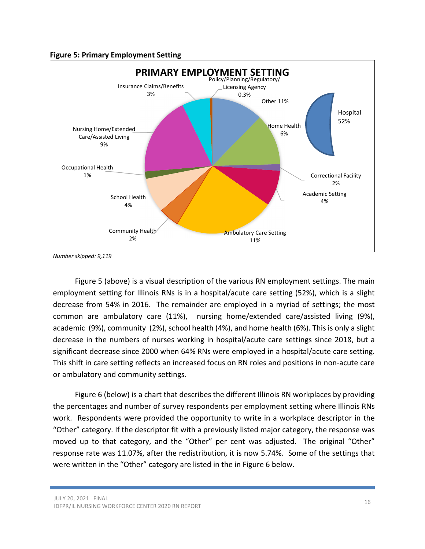#### Figure 5: Primary Employment Setting



Number skipped: 9,119

Figure 5 (above) is a visual description of the various RN employment settings. The main employment setting for Illinois RNs is in a hospital/acute care setting (52%), which is a slight decrease from 54% in 2016. The remainder are employed in a myriad of settings; the most common are ambulatory care (11%), nursing home/extended care/assisted living (9%), academic (9%), community (2%), school health (4%), and home health (6%). This is only a slight decrease in the numbers of nurses working in hospital/acute care settings since 2018, but a significant decrease since 2000 when 64% RNs were employed in a hospital/acute care setting. This shift in care setting reflects an increased focus on RN roles and positions in non-acute care or ambulatory and community settings.

Figure 6 (below) is a chart that describes the different Illinois RN workplaces by providing the percentages and number of survey respondents per employment setting where Illinois RNs work. Respondents were provided the opportunity to write in a workplace descriptor in the "Other" category. If the descriptor fit with a previously listed major category, the response was moved up to that category, and the "Other" per cent was adjusted. The original "Other" response rate was 11.07%, after the redistribution, it is now 5.74%. Some of the settings that were written in the "Other" category are listed in the in Figure 6 below.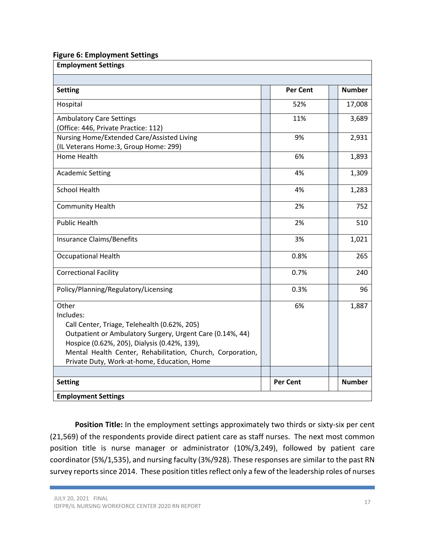#### Figure 6: Employment Settings

| <b>Employment Settings</b>                                                                                                                                                                                                                                                                   |  |                 |  |               |  |  |
|----------------------------------------------------------------------------------------------------------------------------------------------------------------------------------------------------------------------------------------------------------------------------------------------|--|-----------------|--|---------------|--|--|
|                                                                                                                                                                                                                                                                                              |  |                 |  |               |  |  |
| <b>Setting</b>                                                                                                                                                                                                                                                                               |  | <b>Per Cent</b> |  | <b>Number</b> |  |  |
| Hospital                                                                                                                                                                                                                                                                                     |  | 52%             |  | 17,008        |  |  |
| <b>Ambulatory Care Settings</b><br>(Office: 446, Private Practice: 112)                                                                                                                                                                                                                      |  | 11%             |  | 3,689         |  |  |
| Nursing Home/Extended Care/Assisted Living<br>(IL Veterans Home: 3, Group Home: 299)                                                                                                                                                                                                         |  | 9%              |  | 2,931         |  |  |
| <b>Home Health</b>                                                                                                                                                                                                                                                                           |  | 6%              |  | 1,893         |  |  |
| <b>Academic Setting</b>                                                                                                                                                                                                                                                                      |  | 4%              |  | 1,309         |  |  |
| <b>School Health</b>                                                                                                                                                                                                                                                                         |  | 4%              |  | 1,283         |  |  |
| <b>Community Health</b>                                                                                                                                                                                                                                                                      |  | 2%              |  | 752           |  |  |
| <b>Public Health</b>                                                                                                                                                                                                                                                                         |  | 2%              |  | 510           |  |  |
| <b>Insurance Claims/Benefits</b>                                                                                                                                                                                                                                                             |  | 3%              |  | 1,021         |  |  |
| <b>Occupational Health</b>                                                                                                                                                                                                                                                                   |  | 0.8%            |  | 265           |  |  |
| <b>Correctional Facility</b>                                                                                                                                                                                                                                                                 |  | 0.7%            |  | 240           |  |  |
| Policy/Planning/Regulatory/Licensing                                                                                                                                                                                                                                                         |  | 0.3%            |  | 96            |  |  |
| Other<br>Includes:<br>Call Center, Triage, Telehealth (0.62%, 205)<br>Outpatient or Ambulatory Surgery, Urgent Care (0.14%, 44)<br>Hospice (0.62%, 205), Dialysis (0.42%, 139),<br>Mental Health Center, Rehabilitation, Church, Corporation,<br>Private Duty, Work-at-home, Education, Home |  | 6%              |  | 1,887         |  |  |
| <b>Setting</b>                                                                                                                                                                                                                                                                               |  | <b>Per Cent</b> |  | <b>Number</b> |  |  |
|                                                                                                                                                                                                                                                                                              |  |                 |  |               |  |  |
| <b>Employment Settings</b>                                                                                                                                                                                                                                                                   |  |                 |  |               |  |  |

Position Title: In the employment settings approximately two thirds or sixty-six per cent (21,569) of the respondents provide direct patient care as staff nurses. The next most common position title is nurse manager or administrator (10%/3,249), followed by patient care coordinator (5%/1,535), and nursing faculty (3%/928). These responses are similar to the past RN survey reports since 2014. These position titles reflect only a few of the leadership roles of nurses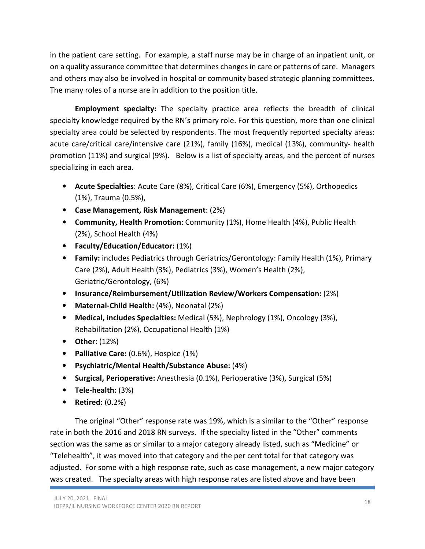in the patient care setting. For example, a staff nurse may be in charge of an inpatient unit, or on a quality assurance committee that determines changes in care or patterns of care. Managers and others may also be involved in hospital or community based strategic planning committees. The many roles of a nurse are in addition to the position title.

**Employment specialty:** The specialty practice area reflects the breadth of clinical specialty knowledge required by the RN's primary role. For this question, more than one clinical specialty area could be selected by respondents. The most frequently reported specialty areas: acute care/critical care/intensive care (21%), family (16%), medical (13%), community- health promotion (11%) and surgical (9%). Below is a list of specialty areas, and the percent of nurses specializing in each area.

- Acute Specialties: Acute Care (8%), Critical Care (6%), Emergency (5%), Orthopedics (1%), Trauma (0.5%),
- Case Management, Risk Management: (2%)
- Community, Health Promotion: Community (1%), Home Health (4%), Public Health (2%), School Health (4%)
- Faculty/Education/Educator: (1%)
- Family: includes Pediatrics through Geriatrics/Gerontology: Family Health (1%), Primary Care (2%), Adult Health (3%), Pediatrics (3%), Women's Health (2%), Geriatric/Gerontology, (6%)
- Insurance/Reimbursement/Utilization Review/Workers Compensation: (2%)
- Maternal-Child Health: (4%), Neonatal (2%)
- Medical, includes Specialties: Medical (5%), Nephrology (1%), Oncology (3%), Rehabilitation (2%), Occupational Health (1%)
- Other: (12%)
- Palliative Care: (0.6%), Hospice (1%)
- Psychiatric/Mental Health/Substance Abuse: (4%)
- Surgical, Perioperative: Anesthesia (0.1%), Perioperative (3%), Surgical (5%)
- Tele-health: (3%)
- Retired: (0.2%)

The original "Other" response rate was 19%, which is a similar to the "Other" response rate in both the 2016 and 2018 RN surveys. If the specialty listed in the "Other" comments section was the same as or similar to a major category already listed, such as "Medicine" or "Telehealth", it was moved into that category and the per cent total for that category was adjusted. For some with a high response rate, such as case management, a new major category was created. The specialty areas with high response rates are listed above and have been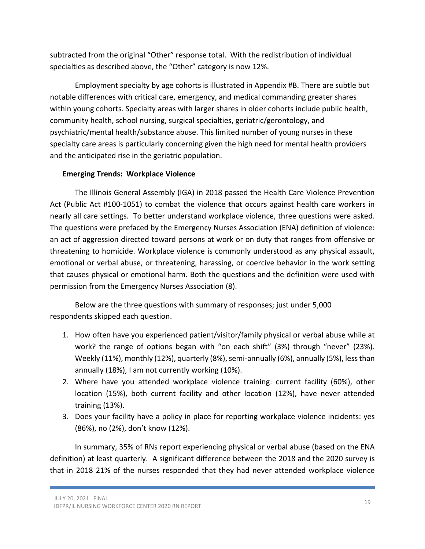subtracted from the original "Other" response total. With the redistribution of individual specialties as described above, the "Other" category is now 12%.

 Employment specialty by age cohorts is illustrated in Appendix #B. There are subtle but notable differences with critical care, emergency, and medical commanding greater shares within young cohorts. Specialty areas with larger shares in older cohorts include public health, community health, school nursing, surgical specialties, geriatric/gerontology, and psychiatric/mental health/substance abuse. This limited number of young nurses in these specialty care areas is particularly concerning given the high need for mental health providers and the anticipated rise in the geriatric population.

#### Emerging Trends: Workplace Violence

The Illinois General Assembly (IGA) in 2018 passed the Health Care Violence Prevention Act (Public Act #100-1051) to combat the violence that occurs against health care workers in nearly all care settings. To better understand workplace violence, three questions were asked. The questions were prefaced by the Emergency Nurses Association (ENA) definition of violence: an act of aggression directed toward persons at work or on duty that ranges from offensive or threatening to homicide. Workplace violence is commonly understood as any physical assault, emotional or verbal abuse, or threatening, harassing, or coercive behavior in the work setting that causes physical or emotional harm. Both the questions and the definition were used with permission from the Emergency Nurses Association (8).

Below are the three questions with summary of responses; just under 5,000 respondents skipped each question.

- 1. How often have you experienced patient/visitor/family physical or verbal abuse while at work? the range of options began with "on each shift" (3%) through "never" (23%). Weekly (11%), monthly (12%), quarterly (8%), semi-annually (6%), annually (5%), less than annually (18%), I am not currently working (10%).
- 2. Where have you attended workplace violence training: current facility (60%), other location (15%), both current facility and other location (12%), have never attended training (13%).
- 3. Does your facility have a policy in place for reporting workplace violence incidents: yes (86%), no (2%), don't know (12%).

In summary, 35% of RNs report experiencing physical or verbal abuse (based on the ENA definition) at least quarterly. A significant difference between the 2018 and the 2020 survey is that in 2018 21% of the nurses responded that they had never attended workplace violence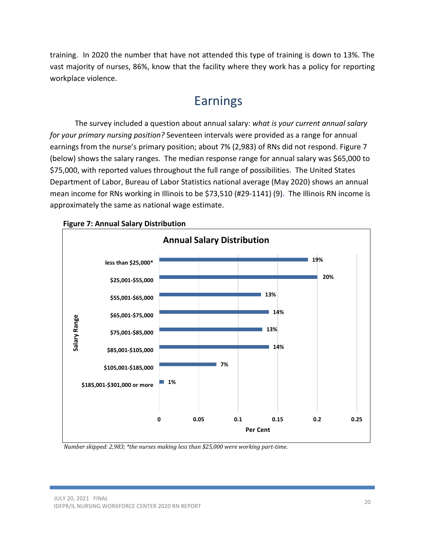training. In 2020 the number that have not attended this type of training is down to 13%. The vast majority of nurses, 86%, know that the facility where they work has a policy for reporting workplace violence.

### Earnings

The survey included a question about annual salary: what is your current annual salary for your primary nursing position? Seventeen intervals were provided as a range for annual earnings from the nurse's primary position; about 7% (2,983) of RNs did not respond. Figure 7 (below) shows the salary ranges. The median response range for annual salary was \$65,000 to \$75,000, with reported values throughout the full range of possibilities. The United States Department of Labor, Bureau of Labor Statistics national average (May 2020) shows an annual mean income for RNs working in Illinois to be \$73,510 (#29-1141) (9). The Illinois RN income is approximately the same as national wage estimate.



Figure 7: Annual Salary Distribution

Number skipped: 2,983; \*the nurses making less than \$25,000 were working part-time.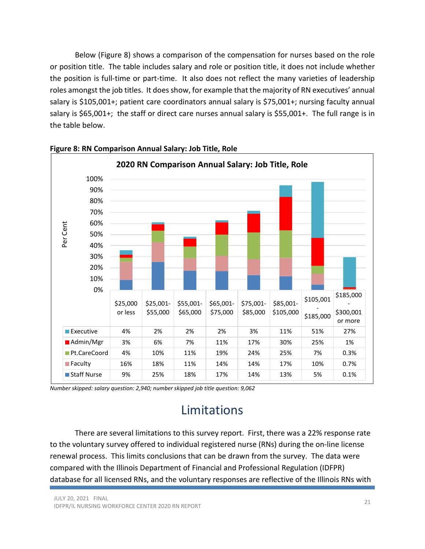Below (Figure 8) shows a comparison of the compensation for nurses based on the role or position title. The table includes salary and role or position title, it does not include whether the position is full-time or part-time. It also does not reflect the many varieties of leadership roles amongst the job titles. It does show, for example that the majority of RN executives' annual salary is \$105,001+; patient care coordinators annual salary is \$75,001+; nursing faculty annual salary is \$65,001+; the staff or direct care nurses annual salary is \$55,001+. The full range is in the table below.



#### Figure 8: RN Comparison Annual Salary: Job Title, Role

Number skipped: salary question: 2,940; number skipped job title question: 9,062

### Limitations

There are several limitations to this survey report. First, there was a 22% response rate to the voluntary survey offered to individual registered nurse (RNs) during the on-line license renewal process. This limits conclusions that can be drawn from the survey. The data were compared with the Illinois Department of Financial and Professional Regulation (IDFPR) database for all licensed RNs, and the voluntary responses are reflective of the Illinois RNs with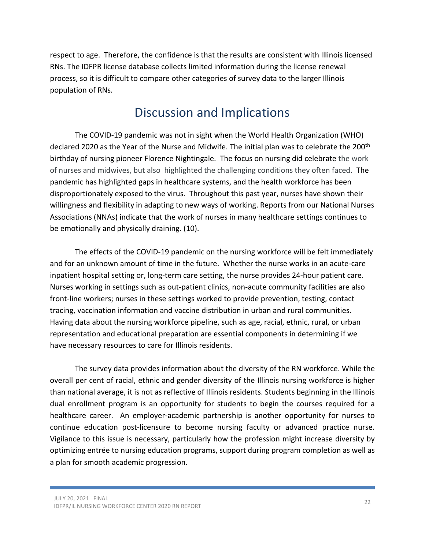respect to age. Therefore, the confidence is that the results are consistent with Illinois licensed RNs. The IDFPR license database collects limited information during the license renewal process, so it is difficult to compare other categories of survey data to the larger Illinois population of RNs.

### Discussion and Implications

 The COVID-19 pandemic was not in sight when the World Health Organization (WHO) declared 2020 as the Year of the Nurse and Midwife. The initial plan was to celebrate the 200<sup>th</sup> birthday of nursing pioneer Florence Nightingale. The focus on nursing did celebrate the work of nurses and midwives, but also highlighted the challenging conditions they often faced. The pandemic has highlighted gaps in healthcare systems, and the health workforce has been disproportionately exposed to the virus. Throughout this past year, nurses have shown their willingness and flexibility in adapting to new ways of working. Reports from our National Nurses Associations (NNAs) indicate that the work of nurses in many healthcare settings continues to be emotionally and physically draining. (10).

The effects of the COVID-19 pandemic on the nursing workforce will be felt immediately and for an unknown amount of time in the future. Whether the nurse works in an acute-care inpatient hospital setting or, long-term care setting, the nurse provides 24-hour patient care. Nurses working in settings such as out-patient clinics, non-acute community facilities are also front-line workers; nurses in these settings worked to provide prevention, testing, contact tracing, vaccination information and vaccine distribution in urban and rural communities. Having data about the nursing workforce pipeline, such as age, racial, ethnic, rural, or urban representation and educational preparation are essential components in determining if we have necessary resources to care for Illinois residents.

The survey data provides information about the diversity of the RN workforce. While the overall per cent of racial, ethnic and gender diversity of the Illinois nursing workforce is higher than national average, it is not as reflective of Illinois residents. Students beginning in the Illinois dual enrollment program is an opportunity for students to begin the courses required for a healthcare career. An employer-academic partnership is another opportunity for nurses to continue education post-licensure to become nursing faculty or advanced practice nurse. Vigilance to this issue is necessary, particularly how the profession might increase diversity by optimizing entrée to nursing education programs, support during program completion as well as a plan for smooth academic progression.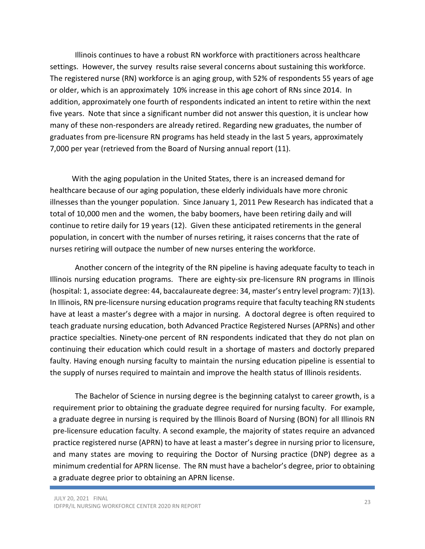Illinois continues to have a robust RN workforce with practitioners across healthcare settings. However, the survey results raise several concerns about sustaining this workforce. The registered nurse (RN) workforce is an aging group, with 52% of respondents 55 years of age or older, which is an approximately 10% increase in this age cohort of RNs since 2014. In addition, approximately one fourth of respondents indicated an intent to retire within the next five years. Note that since a significant number did not answer this question, it is unclear how many of these non-responders are already retired. Regarding new graduates, the number of graduates from pre-licensure RN programs has held steady in the last 5 years, approximately 7,000 per year (retrieved from the Board of Nursing annual report (11).

 With the aging population in the United States, there is an increased demand for healthcare because of our aging population, these elderly individuals have more chronic illnesses than the younger population. Since January 1, 2011 Pew Research has indicated that a total of 10,000 men and the women, the baby boomers, have been retiring daily and will continue to retire daily for 19 years (12). Given these anticipated retirements in the general population, in concert with the number of nurses retiring, it raises concerns that the rate of nurses retiring will outpace the number of new nurses entering the workforce.

Another concern of the integrity of the RN pipeline is having adequate faculty to teach in Illinois nursing education programs. There are eighty-six pre-licensure RN programs in Illinois (hospital: 1, associate degree: 44, baccalaureate degree: 34, master's entry level program: 7)(13). In Illinois, RN pre-licensure nursing education programs require that faculty teaching RN students have at least a master's degree with a major in nursing. A doctoral degree is often required to teach graduate nursing education, both Advanced Practice Registered Nurses (APRNs) and other practice specialties. Ninety-one percent of RN respondents indicated that they do not plan on continuing their education which could result in a shortage of masters and doctorly prepared faulty. Having enough nursing faculty to maintain the nursing education pipeline is essential to the supply of nurses required to maintain and improve the health status of Illinois residents.

The Bachelor of Science in nursing degree is the beginning catalyst to career growth, is a requirement prior to obtaining the graduate degree required for nursing faculty. For example, a graduate degree in nursing is required by the Illinois Board of Nursing (BON) for all Illinois RN pre-licensure education faculty. A second example, the majority of states require an advanced practice registered nurse (APRN) to have at least a master's degree in nursing prior to licensure, and many states are moving to requiring the Doctor of Nursing practice (DNP) degree as a minimum credential for APRN license. The RN must have a bachelor's degree, prior to obtaining a graduate degree prior to obtaining an APRN license.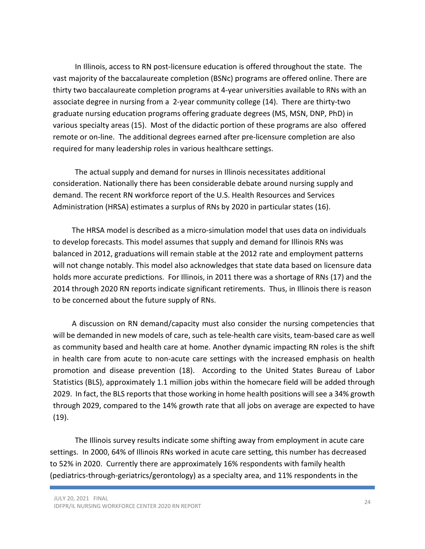In Illinois, access to RN post-licensure education is offered throughout the state. The vast majority of the baccalaureate completion (BSNc) programs are offered online. There are thirty two baccalaureate completion programs at 4-year universities available to RNs with an associate degree in nursing from a 2-year community college (14). There are thirty-two graduate nursing education programs offering graduate degrees (MS, MSN, DNP, PhD) in various specialty areas (15). Most of the didactic portion of these programs are also offered remote or on-line. The additional degrees earned after pre-licensure completion are also required for many leadership roles in various healthcare settings.

 The actual supply and demand for nurses in Illinois necessitates additional consideration. Nationally there has been considerable debate around nursing supply and demand. The recent RN workforce report of the U.S. Health Resources and Services Administration (HRSA) estimates a surplus of RNs by 2020 in particular states (16).

 The HRSA model is described as a micro-simulation model that uses data on individuals to develop forecasts. This model assumes that supply and demand for Illinois RNs was balanced in 2012, graduations will remain stable at the 2012 rate and employment patterns will not change notably. This model also acknowledges that state data based on licensure data holds more accurate predictions. For Illinois, in 2011 there was a shortage of RNs (17) and the 2014 through 2020 RN reports indicate significant retirements. Thus, in Illinois there is reason to be concerned about the future supply of RNs.

 A discussion on RN demand/capacity must also consider the nursing competencies that will be demanded in new models of care, such as tele-health care visits, team-based care as well as community based and health care at home. Another dynamic impacting RN roles is the shift in health care from acute to non-acute care settings with the increased emphasis on health promotion and disease prevention (18). According to the United States Bureau of Labor Statistics (BLS), approximately 1.1 million jobs within the homecare field will be added through 2029. In fact, the BLS reports that those working in home health positions will see a 34% growth through 2029, compared to the 14% growth rate that all jobs on average are expected to have (19).

The Illinois survey results indicate some shifting away from employment in acute care settings. In 2000, 64% of Illinois RNs worked in acute care setting, this number has decreased to 52% in 2020. Currently there are approximately 16% respondents with family health (pediatrics-through-geriatrics/gerontology) as a specialty area, and 11% respondents in the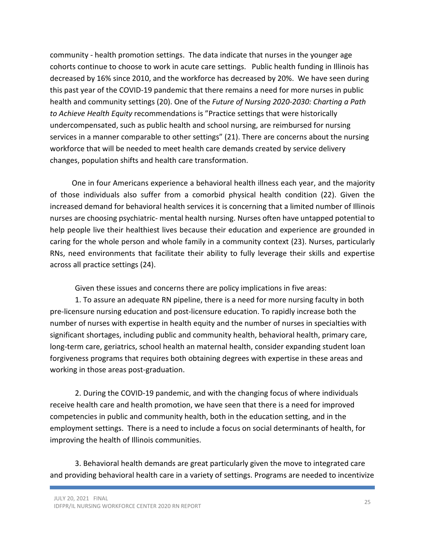community - health promotion settings. The data indicate that nurses in the younger age cohorts continue to choose to work in acute care settings. Public health funding in Illinois has decreased by 16% since 2010, and the workforce has decreased by 20%. We have seen during this past year of the COVID-19 pandemic that there remains a need for more nurses in public health and community settings (20). One of the Future of Nursing 2020-2030: Charting a Path to Achieve Health Equity recommendations is "Practice settings that were historically undercompensated, such as public health and school nursing, are reimbursed for nursing services in a manner comparable to other settings" (21). There are concerns about the nursing workforce that will be needed to meet health care demands created by service delivery changes, population shifts and health care transformation.

One in four Americans experience a behavioral health illness each year, and the majority of those individuals also suffer from a comorbid physical health condition (22). Given the increased demand for behavioral health services it is concerning that a limited number of Illinois nurses are choosing psychiatric- mental health nursing. Nurses often have untapped potential to help people live their healthiest lives because their education and experience are grounded in caring for the whole person and whole family in a community context (23). Nurses, particularly RNs, need environments that facilitate their ability to fully leverage their skills and expertise across all practice settings (24).

Given these issues and concerns there are policy implications in five areas:

1. To assure an adequate RN pipeline, there is a need for more nursing faculty in both pre-licensure nursing education and post-licensure education. To rapidly increase both the number of nurses with expertise in health equity and the number of nurses in specialties with significant shortages, including public and community health, behavioral health, primary care, long-term care, geriatrics, school health an maternal health, consider expanding student loan forgiveness programs that requires both obtaining degrees with expertise in these areas and working in those areas post-graduation.

2. During the COVID-19 pandemic, and with the changing focus of where individuals receive health care and health promotion, we have seen that there is a need for improved competencies in public and community health, both in the education setting, and in the employment settings. There is a need to include a focus on social determinants of health, for improving the health of Illinois communities.

3. Behavioral health demands are great particularly given the move to integrated care and providing behavioral health care in a variety of settings. Programs are needed to incentivize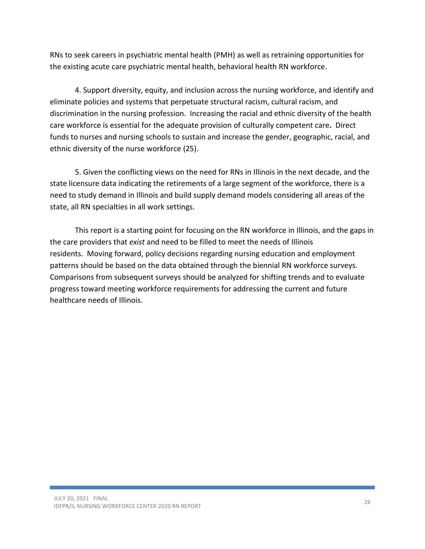RNs to seek careers in psychiatric mental health (PMH) as well as retraining opportunities for the existing acute care psychiatric mental health, behavioral health RN workforce.

4. Support diversity, equity, and inclusion across the nursing workforce, and identify and eliminate policies and systems that perpetuate structural racism, cultural racism, and discrimination in the nursing profession. Increasing the racial and ethnic diversity of the health care workforce is essential for the adequate provision of culturally competent care. Direct funds to nurses and nursing schools to sustain and increase the gender, geographic, racial, and ethnic diversity of the nurse workforce (25).

5. Given the conflicting views on the need for RNs in Illinois in the next decade, and the state licensure data indicating the retirements of a large segment of the workforce, there is a need to study demand in Illinois and build supply demand models considering all areas of the state, all RN specialties in all work settings.

This report is a starting point for focusing on the RN workforce in Illinois, and the gaps in the care providers that exist and need to be filled to meet the needs of Illinois residents. Moving forward, policy decisions regarding nursing education and employment patterns should be based on the data obtained through the biennial RN workforce surveys. Comparisons from subsequent surveys should be analyzed for shifting trends and to evaluate progress toward meeting workforce requirements for addressing the current and future healthcare needs of Illinois.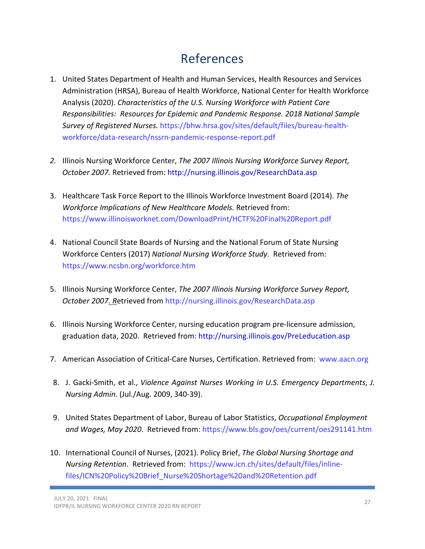### References

- 1. United States Department of Health and Human Services, Health Resources and Services Administration (HRSA), Bureau of Health Workforce, National Center for Health Workforce Analysis (2020). Characteristics of the U.S. Nursing Workforce with Patient Care Responsibilities: Resources for Epidemic and Pandemic Response. 2018 National Sample Survey of Registered Nurses. https://bhw.hrsa.gov/sites/default/files/bureau-healthworkforce/data-research/nssrn-pandemic-response-report.pdf
- 2. Illinois Nursing Workforce Center, The 2007 Illinois Nursing Workforce Survey Report, October 2007. Retrieved from: http://nursing.illinois.gov/ResearchData.asp
- 3. Healthcare Task Force Report to the Illinois Workforce Investment Board (2014). The Workforce Implications of New Healthcare Models. Retrieved from: https://www.illinoisworknet.com/DownloadPrint/HCTF%20Final%20Report.pdf
- 4. National Council State Boards of Nursing and the National Forum of State Nursing Workforce Centers (2017) National Nursing Workforce Study. Retrieved from: https://www.ncsbn.org/workforce.htm
- 5. Illinois Nursing Workforce Center, The 2007 Illinois Nursing Workforce Survey Report, October 2007. Retrieved from http://nursing.illinois.gov/ResearchData.asp
- 6. Illinois Nursing Workforce Center, nursing education program pre-licensure admission, graduation data, 2020. Retrieved from: http://nursing.illinois.gov/PreLeducation.asp
- 7. American Association of Critical-Care Nurses, Certification. Retrieved from: www.aacn.org
- 8. J. Gacki-Smith, et al., Violence Against Nurses Working in U.S. Emergency Departments, J. Nursing Admin. (Jul./Aug. 2009, 340-39).
- 9. United States Department of Labor, Bureau of Labor Statistics, Occupational Employment and Wages, May 2020. Retrieved from: https://www.bls.gov/oes/current/oes291141.htm
- 10. International Council of Nurses, (2021). Policy Brief, The Global Nursing Shortage and Nursing Retention. Retrieved from: https://www.icn.ch/sites/default/files/inlinefiles/ICN%20Policy%20Brief\_Nurse%20Shortage%20and%20Retention.pdf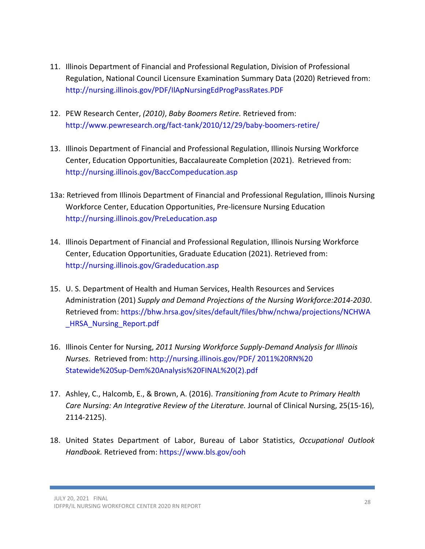- 11. Illinois Department of Financial and Professional Regulation, Division of Professional Regulation, National Council Licensure Examination Summary Data (2020) Retrieved from: http://nursing.illinois.gov/PDF/IlApNursingEdProgPassRates.PDF
- 12. PEW Research Center, (2010), Baby Boomers Retire. Retrieved from: http://www.pewresearch.org/fact-tank/2010/12/29/baby-boomers-retire/
- 13. Illinois Department of Financial and Professional Regulation, Illinois Nursing Workforce Center, Education Opportunities, Baccalaureate Completion (2021). Retrieved from: http://nursing.illinois.gov/BaccCompeducation.asp
- 13a: Retrieved from Illinois Department of Financial and Professional Regulation, Illinois Nursing Workforce Center, Education Opportunities, Pre-licensure Nursing Education http://nursing.illinois.gov/PreLeducation.asp
- 14. Illinois Department of Financial and Professional Regulation, Illinois Nursing Workforce Center, Education Opportunities, Graduate Education (2021). Retrieved from: http://nursing.illinois.gov/Gradeducation.asp
- 15. U. S. Department of Health and Human Services, Health Resources and Services Administration (201) Supply and Demand Projections of the Nursing Workforce:2014-2030. Retrieved from: https://bhw.hrsa.gov/sites/default/files/bhw/nchwa/projections/NCHWA \_HRSA\_Nursing\_Report.pdf
- 16. Illinois Center for Nursing, 2011 Nursing Workforce Supply-Demand Analysis for Illinois Nurses. Retrieved from: http://nursing.illinois.gov/PDF/ 2011%20RN%20 Statewide%20Sup-Dem%20Analysis%20FINAL%20(2).pdf
- 17. Ashley, C., Halcomb, E., & Brown, A. (2016). Transitioning from Acute to Primary Health Care Nursing: An Integrative Review of the Literature. Journal of Clinical Nursing, 25(15-16), 2114-2125).
- 18. United States Department of Labor, Bureau of Labor Statistics, Occupational Outlook Handbook. Retrieved from: https://www.bls.gov/ooh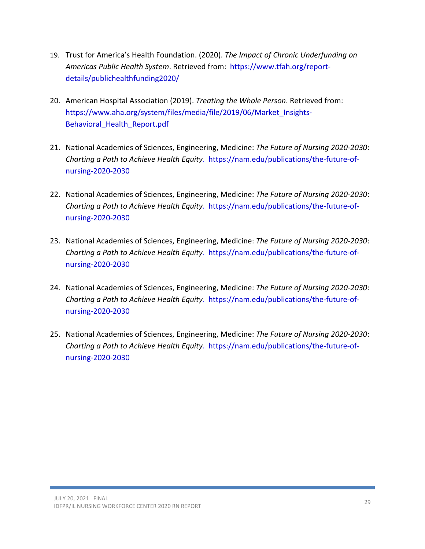- 19. Trust for America's Health Foundation. (2020). The Impact of Chronic Underfunding on Americas Public Health System. Retrieved from: https://www.tfah.org/reportdetails/publichealthfunding2020/
- 20. American Hospital Association (2019). Treating the Whole Person. Retrieved from: https://www.aha.org/system/files/media/file/2019/06/Market\_Insights-Behavioral\_Health\_Report.pdf
- 21. National Academies of Sciences, Engineering, Medicine: The Future of Nursing 2020-2030: Charting a Path to Achieve Health Equity. https://nam.edu/publications/the-future-ofnursing-2020-2030
- 22. National Academies of Sciences, Engineering, Medicine: The Future of Nursing 2020-2030: Charting a Path to Achieve Health Equity. https://nam.edu/publications/the-future-ofnursing-2020-2030
- 23. National Academies of Sciences, Engineering, Medicine: The Future of Nursing 2020-2030: Charting a Path to Achieve Health Equity. https://nam.edu/publications/the-future-ofnursing-2020-2030
- 24. National Academies of Sciences, Engineering, Medicine: The Future of Nursing 2020-2030: Charting a Path to Achieve Health Equity. https://nam.edu/publications/the-future-ofnursing-2020-2030
- 25. National Academies of Sciences, Engineering, Medicine: The Future of Nursing 2020-2030: Charting a Path to Achieve Health Equity. https://nam.edu/publications/the-future-ofnursing-2020-2030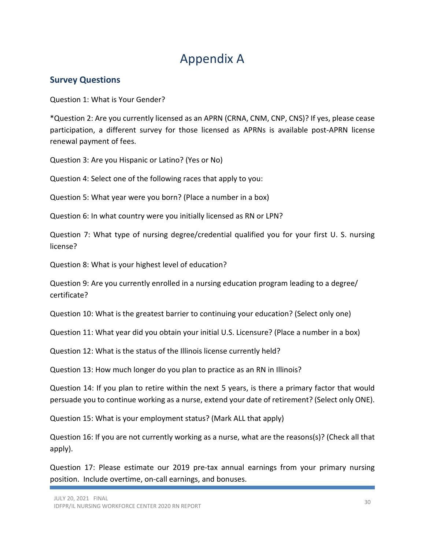## Appendix A

### Survey Questions

Question 1: What is Your Gender?

\*Question 2: Are you currently licensed as an APRN (CRNA, CNM, CNP, CNS)? If yes, please cease participation, a different survey for those licensed as APRNs is available post-APRN license renewal payment of fees.

Question 3: Are you Hispanic or Latino? (Yes or No)

Question 4: Select one of the following races that apply to you:

Question 5: What year were you born? (Place a number in a box)

Question 6: In what country were you initially licensed as RN or LPN?

Question 7: What type of nursing degree/credential qualified you for your first U. S. nursing license?

Question 8: What is your highest level of education?

Question 9: Are you currently enrolled in a nursing education program leading to a degree/ certificate?

Question 10: What is the greatest barrier to continuing your education? (Select only one)

Question 11: What year did you obtain your initial U.S. Licensure? (Place a number in a box)

Question 12: What is the status of the Illinois license currently held?

Question 13: How much longer do you plan to practice as an RN in Illinois?

Question 14: If you plan to retire within the next 5 years, is there a primary factor that would persuade you to continue working as a nurse, extend your date of retirement? (Select only ONE).

Question 15: What is your employment status? (Mark ALL that apply)

Question 16: If you are not currently working as a nurse, what are the reasons(s)? (Check all that apply).

Question 17: Please estimate our 2019 pre-tax annual earnings from your primary nursing position. Include overtime, on-call earnings, and bonuses.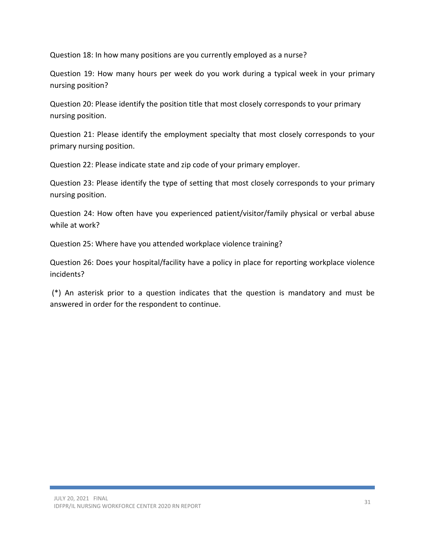Question 18: In how many positions are you currently employed as a nurse?

Question 19: How many hours per week do you work during a typical week in your primary nursing position?

Question 20: Please identify the position title that most closely corresponds to your primary nursing position.

Question 21: Please identify the employment specialty that most closely corresponds to your primary nursing position.

Question 22: Please indicate state and zip code of your primary employer.

Question 23: Please identify the type of setting that most closely corresponds to your primary nursing position.

Question 24: How often have you experienced patient/visitor/family physical or verbal abuse while at work?

Question 25: Where have you attended workplace violence training?

Question 26: Does your hospital/facility have a policy in place for reporting workplace violence incidents?

 (\*) An asterisk prior to a question indicates that the question is mandatory and must be answered in order for the respondent to continue.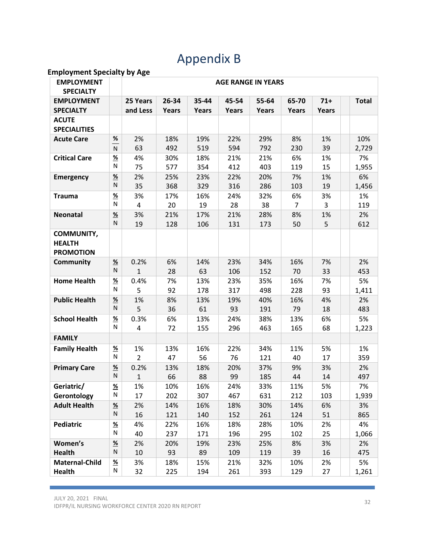# Appendix B

#### Employment Specialty by Age

| <b>EMPLOYMENT</b><br><b>SPECIALTY</b>                  |                           | <b>AGE RANGE IN YEARS</b> |       |       |       |              |                |       |              |
|--------------------------------------------------------|---------------------------|---------------------------|-------|-------|-------|--------------|----------------|-------|--------------|
| <b>EMPLOYMENT</b>                                      |                           | 25 Years                  | 26-34 | 35-44 | 45-54 | 55-64        | 65-70          | $71+$ | <b>Total</b> |
| <b>SPECIALTY</b>                                       |                           | and Less                  | Years | Years | Years | <b>Years</b> | <b>Years</b>   | Years |              |
| <b>ACUTE</b>                                           |                           |                           |       |       |       |              |                |       |              |
| <b>SPECIALITIES</b>                                    |                           |                           |       |       |       |              |                |       |              |
| <b>Acute Care</b>                                      | $\%$                      | 2%                        | 18%   | 19%   | 22%   | 29%          | 8%             | 1%    | 10%          |
|                                                        | N                         | 63                        | 492   | 519   | 594   | 792          | 230            | 39    | 2,729        |
| <b>Critical Care</b>                                   | $\underline{\%}$          | 4%                        | 30%   | 18%   | 21%   | 21%          | 6%             | 1%    | 7%           |
|                                                        | N                         | 75                        | 577   | 354   | 412   | 403          | 119            | 15    | 1,955        |
| <b>Emergency</b>                                       | $\frac{9}{6}$             | 2%                        | 25%   | 23%   | 22%   | 20%          | 7%             | 1%    | 6%           |
|                                                        | N                         | 35                        | 368   | 329   | 316   | 286          | 103            | 19    | 1,456        |
| <b>Trauma</b>                                          | $\frac{9}{6}$             | 3%                        | 17%   | 16%   | 24%   | 32%          | 6%             | 3%    | 1%           |
|                                                        | N                         | 4                         | 20    | 19    | 28    | 38           | $\overline{7}$ | 3     | 119          |
| <b>Neonatal</b>                                        | $\frac{9}{6}$             | 3%                        | 21%   | 17%   | 21%   | 28%          | 8%             | 1%    | 2%           |
|                                                        | N.                        | 19                        | 128   | 106   | 131   | 173          | 50             | 5     | 612          |
| <b>COMMUNITY,</b><br><b>HEALTH</b><br><b>PROMOTION</b> |                           |                           |       |       |       |              |                |       |              |
| <b>Community</b>                                       | $\underline{\mathcal{H}}$ | 0.2%                      | 6%    | 14%   | 23%   | 34%          | 16%            | 7%    | 2%           |
|                                                        | N                         | $\mathbf{1}$              | 28    | 63    | 106   | 152          | 70             | 33    | 453          |
| <b>Home Health</b>                                     | <u>%</u>                  | 0.4%                      | 7%    | 13%   | 23%   | 35%          | 16%            | 7%    | 5%           |
|                                                        | N                         | 5                         | 92    | 178   | 317   | 498          | 228            | 93    | 1,411        |
| <b>Public Health</b>                                   | $\frac{9}{6}$             | 1%                        | 8%    | 13%   | 19%   | 40%          | 16%            | 4%    | 2%           |
|                                                        | N.                        | 5                         | 36    | 61    | 93    | 191          | 79             | 18    | 483          |
| <b>School Health</b>                                   | $\underline{\mathcal{H}}$ | 0.3%                      | 6%    | 13%   | 24%   | 38%          | 13%            | 6%    | 5%           |
|                                                        | N                         | 4                         | 72    | 155   | 296   | 463          | 165            | 68    | 1,223        |
| <b>FAMILY</b>                                          |                           |                           |       |       |       |              |                |       |              |
| <b>Family Health</b>                                   | <u>%</u>                  | 1%                        | 13%   | 16%   | 22%   | 34%          | 11%            | 5%    | 1%           |
|                                                        | N                         | $\overline{2}$            | 47    | 56    | 76    | 121          | 40             | 17    | 359          |
| <b>Primary Care</b>                                    | $\frac{9}{6}$             | 0.2%                      | 13%   | 18%   | 20%   | 37%          | 9%             | 3%    | 2%           |
|                                                        | N                         | $\mathbf{1}$              | 66    | 88    | 99    | 185          | 44             | 14    | 497          |
| Geriatric/                                             | $\frac{9}{6}$             | 1%                        | 10%   | 16%   | 24%   | 33%          | 11%            | 5%    | 7%           |
| Gerontology                                            | N                         | 17                        | 202   | 307   | 467   | 631          | 212            | 103   | 1,939        |
| <b>Adult Health</b>                                    | <u>%</u>                  | 2%                        | 14%   | 16%   | 18%   | 30%          | 14%            | 6%    | 3%           |
|                                                        | N                         | 16                        | 121   | 140   | 152   | 261          | 124            | 51    | 865          |
| <b>Pediatric</b>                                       | $\underline{\%}$          | 4%                        | 22%   | 16%   | 18%   | 28%          | 10%            | 2%    | 4%           |
|                                                        | N                         | 40                        | 237   | 171   | 196   | 295          | 102            | 25    | 1,066        |
| Women's                                                | $\frac{9}{6}$             | 2%                        | 20%   | 19%   | 23%   | 25%          | 8%             | 3%    | 2%           |
| <b>Health</b>                                          | N                         | 10                        | 93    | 89    | 109   | 119          | 39             | 16    | 475          |
| <b>Maternal-Child</b>                                  | $\frac{96}{2}$            | 3%                        | 18%   | 15%   | 21%   | 32%          | 10%            | 2%    | 5%           |
| <b>Health</b>                                          | ${\sf N}$                 | 32                        | 225   | 194   | 261   | 393          | 129            | 27    | 1,261        |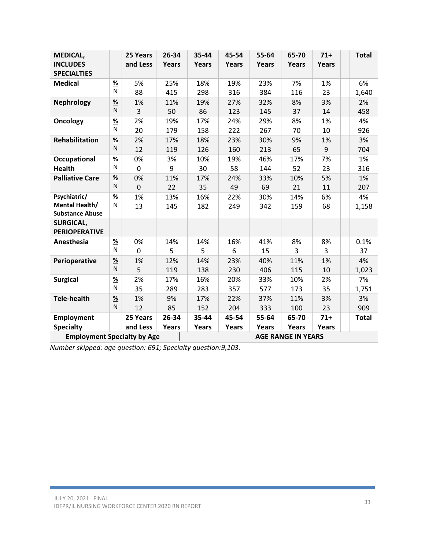| <b>MEDICAL,</b><br><b>INCLUDES</b><br><b>SPECIALTIES</b>        |                | 25 Years<br>and Less | 26-34<br>Years | 35-44<br>Years | 45-54<br>Years | 55-64<br>Years | 65-70<br>Years | $71+$<br>Years |  | <b>Total</b> |
|-----------------------------------------------------------------|----------------|----------------------|----------------|----------------|----------------|----------------|----------------|----------------|--|--------------|
| <b>Medical</b>                                                  | $\frac{9}{6}$  | 5%                   | 25%            | 18%            | 19%            | 23%            | 7%             | 1%             |  | 6%           |
|                                                                 | N              | 88                   | 415            | 298            | 316            | 384            | 116            | 23             |  | 1,640        |
| <b>Nephrology</b>                                               | $\frac{9}{6}$  | 1%                   | 11%            | 19%            | 27%            | 32%            | 8%             | 3%             |  | 2%           |
|                                                                 | N              | 3                    | 50             | 86             | 123            | 145            | 37             | 14             |  | 458          |
| <b>Oncology</b>                                                 | $\frac{9}{6}$  | 2%                   | 19%            | 17%            | 24%            | 29%            | 8%             | 1%             |  | 4%           |
|                                                                 | N              | 20                   | 179            | 158            | 222            | 267            | 70             | 10             |  | 926          |
| <b>Rehabilitation</b>                                           | $\frac{9}{6}$  | 2%                   | 17%            | 18%            | 23%            | 30%            | 9%             | 1%             |  | 3%           |
|                                                                 | N              | 12                   | 119            | 126            | 160            | 213            | 65             | 9              |  | 704          |
| <b>Occupational</b>                                             | $\frac{9}{6}$  | 0%                   | 3%             | 10%            | 19%            | 46%            | 17%            | 7%             |  | 1%           |
| <b>Health</b>                                                   | N              | $\overline{0}$       | 9              | 30             | 58             | 144            | 52             | 23             |  | 316          |
| <b>Palliative Care</b>                                          | $\frac{9}{6}$  | 0%                   | 11%            | 17%            | 24%            | 33%            | 10%            | 5%             |  | 1%           |
|                                                                 | N              | $\overline{0}$       | 22             | 35             | 49             | 69             | 21             | 11             |  | 207          |
| Psychiatric/                                                    | $\frac{9}{6}$  | 1%                   | 13%            | 16%            | 22%            | 30%            | 14%            | 6%             |  | 4%           |
| Mental Health/                                                  | N              | 13                   | 145            | 182            | 249            | 342            | 159            | 68             |  | 1,158        |
| <b>Substance Abuse</b>                                          |                |                      |                |                |                |                |                |                |  |              |
| <b>SURGICAL,</b><br><b>PERIOPERATIVE</b>                        |                |                      |                |                |                |                |                |                |  |              |
| Anesthesia                                                      | $\frac{96}{2}$ | 0%                   | 14%            | 14%            | 16%            | 41%            | 8%             | 8%             |  | 0.1%         |
|                                                                 | N              | $\mathbf 0$          | 5              | 5              | 6              | 15             | 3              | 3              |  | 37           |
| Perioperative                                                   | $\frac{9}{6}$  | 1%                   | 12%            | 14%            | 23%            | 40%            | 11%            | 1%             |  | 4%           |
|                                                                 | N              | 5                    | 119            | 138            | 230            | 406            | 115            | 10             |  | 1,023        |
| <b>Surgical</b>                                                 | $\frac{9}{6}$  | 2%                   | 17%            | 16%            | 20%            | 33%            | 10%            | 2%             |  | 7%           |
|                                                                 | N              | 35                   | 289            | 283            | 357            | 577            | 173            | 35             |  | 1,751        |
| <b>Tele-health</b>                                              | $\frac{9}{6}$  | 1%                   | 9%             | 17%            | 22%            | 37%            | 11%            | 3%             |  | 3%           |
|                                                                 | N              | 12                   | 85             | 152            | 204            | 333            | 100            | 23             |  | 909          |
| <b>Employment</b>                                               |                | 25 Years             | 26-34          | 35-44          | 45-54          | 55-64          | 65-70          | $71+$          |  | <b>Total</b> |
| <b>Specialty</b>                                                |                | and Less             | Years          | Years          | Years          | Years          | Years          | Years          |  |              |
| <b>AGE RANGE IN YEARS</b><br><b>Employment Specialty by Age</b> |                |                      |                |                |                |                |                |                |  |              |

Number skipped: age question: 691; Specialty question:9,103.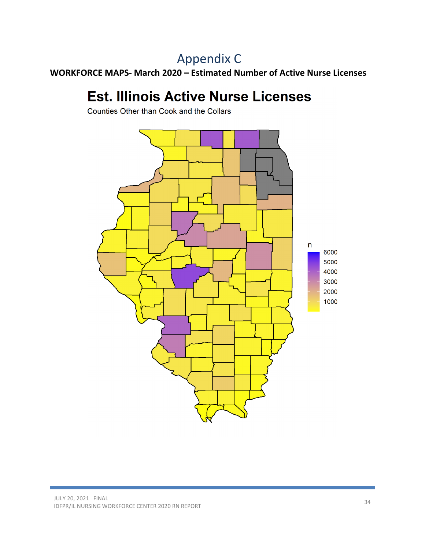# Appendix C

WORKFORCE MAPS- March 2020 – Estimated Number of Active Nurse Licenses

# **Est. Illinois Active Nurse Licenses**

Counties Other than Cook and the Collars

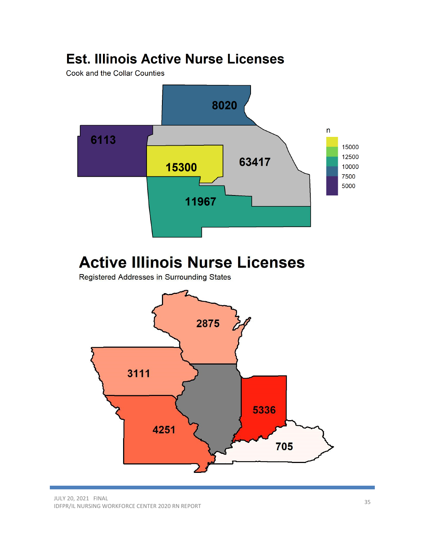# **Est. Illinois Active Nurse Licenses**

Cook and the Collar Counties





JULY 20, 2021 FINAL IDFPR/IL NURSING WORKFORCE CENTER 2020 RN REPORT 35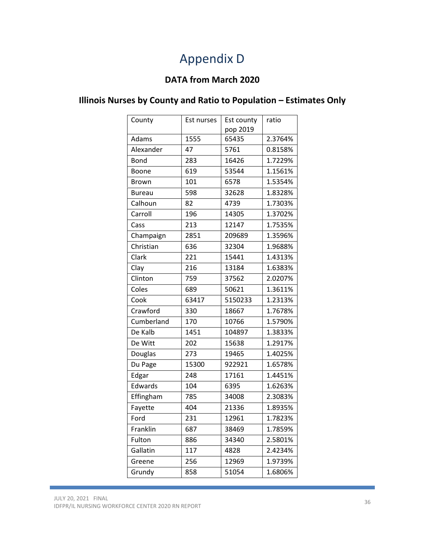# Appendix D

### DATA from March 2020

### Illinois Nurses by County and Ratio to Population – Estimates Only

| County        | Est nurses | Est county | ratio   |
|---------------|------------|------------|---------|
|               |            | pop 2019   |         |
| Adams         | 1555       | 65435      | 2.3764% |
| Alexander     | 47         | 5761       | 0.8158% |
| <b>Bond</b>   | 283        | 16426      | 1.7229% |
| Boone         | 619        | 53544      | 1.1561% |
| Brown         | 101        | 6578       | 1.5354% |
| <b>Bureau</b> | 598        | 32628      | 1.8328% |
| Calhoun       | 82         | 4739       | 1.7303% |
| Carroll       | 196        | 14305      | 1.3702% |
| Cass          | 213        | 12147      | 1.7535% |
| Champaign     | 2851       | 209689     | 1.3596% |
| Christian     | 636        | 32304      | 1.9688% |
| Clark         | 221        | 15441      | 1.4313% |
| Clay          | 216        | 13184      | 1.6383% |
| Clinton       | 759        | 37562      | 2.0207% |
| Coles         | 689        | 50621      | 1.3611% |
| Cook          | 63417      | 5150233    | 1.2313% |
| Crawford      | 330        | 18667      | 1.7678% |
| Cumberland    | 170        | 10766      | 1.5790% |
| De Kalb       | 1451       | 104897     | 1.3833% |
| De Witt       | 202        | 15638      | 1.2917% |
| Douglas       | 273        | 19465      | 1.4025% |
| Du Page       | 15300      | 922921     | 1.6578% |
| Edgar         | 248        | 17161      | 1.4451% |
| Edwards       | 104        | 6395       | 1.6263% |
| Effingham     | 785        | 34008      | 2.3083% |
| Fayette       | 404        | 21336      | 1.8935% |
| Ford          | 231        | 12961      | 1.7823% |
| Franklin      | 687        | 38469      | 1.7859% |
| Fulton        | 886        | 34340      | 2.5801% |
| Gallatin      | 117        | 4828       | 2.4234% |
| Greene        | 256        | 12969      | 1.9739% |
| Grundy        | 858        | 51054      | 1.6806% |
|               |            |            |         |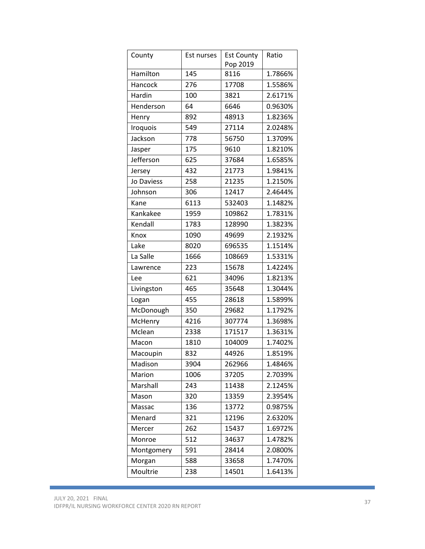| County     | Est nurses | <b>Est County</b> | Ratio   |
|------------|------------|-------------------|---------|
|            |            | Pop 2019          |         |
| Hamilton   | 145        | 8116              | 1.7866% |
| Hancock    | 276        | 17708             | 1.5586% |
| Hardin     | 100        | 3821              | 2.6171% |
| Henderson  | 64         | 6646              | 0.9630% |
| Henry      | 892        | 48913             | 1.8236% |
| Iroquois   | 549        | 27114             | 2.0248% |
| Jackson    | 778        | 56750             | 1.3709% |
| Jasper     | 175        | 9610              | 1.8210% |
| Jefferson  | 625        | 37684             | 1.6585% |
| Jersey     | 432        | 21773             | 1.9841% |
| Jo Daviess | 258        | 21235             | 1.2150% |
| Johnson    | 306        | 12417             | 2.4644% |
| Kane       | 6113       | 532403            | 1.1482% |
| Kankakee   | 1959       | 109862            | 1.7831% |
| Kendall    | 1783       | 128990            | 1.3823% |
| Knox       | 1090       | 49699             | 2.1932% |
| Lake       | 8020       | 696535            | 1.1514% |
| La Salle   | 1666       | 108669            | 1.5331% |
| Lawrence   | 223        | 15678             | 1.4224% |
| Lee        | 621        | 34096             | 1.8213% |
| Livingston | 465        | 35648             | 1.3044% |
| Logan      | 455        | 28618             | 1.5899% |
| McDonough  | 350        | 29682             | 1.1792% |
| McHenry    | 4216       | 307774            | 1.3698% |
| Mclean     | 2338       | 171517            | 1.3631% |
| Macon      | 1810       | 104009            | 1.7402% |
| Macoupin   | 832        | 44926             | 1.8519% |
| Madison    | 3904       | 262966            | 1.4846% |
| Marion     | 1006       | 37205             | 2.7039% |
| Marshall   | 243        | 11438             | 2.1245% |
| Mason      | 320        | 13359             | 2.3954% |
| Massac     | 136        | 13772             | 0.9875% |
| Menard     | 321        | 12196             | 2.6320% |
| Mercer     | 262        | 15437             | 1.6972% |
| Monroe     | 512        | 34637             | 1.4782% |
| Montgomery | 591        | 28414             | 2.0800% |
| Morgan     | 588        | 33658             | 1.7470% |
| Moultrie   | 238        | 14501             | 1.6413% |

**Contract Contract Contract Contract**